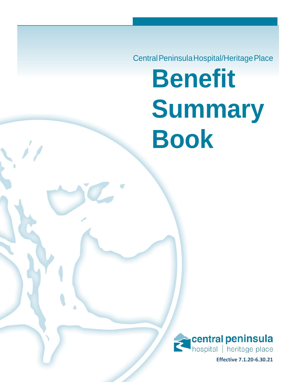Central Peninsula Hospital/Heritage Place **Benefit Summary Book**



**Effective 7.1.20-6.30.21**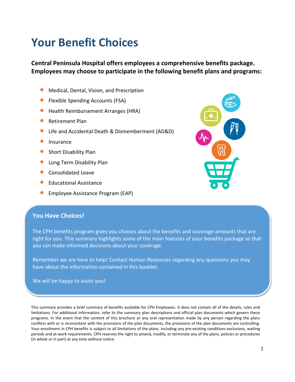# **Your Benefit Choices**

**Central Peninsula Hospital offers employees a comprehensive benefits package. Employees may choose to participate in the following benefit plans and programs:**

- Medical, Dental, Vision, and Prescription
- Flexible Spending Accounts (FSA)
- Health Reimbursement Arranges (HRA)
- Retirement Plan
- Life and Accidental Death & Dismemberment (AD&D)
- Insurance
- Short Disability Plan
- Long Term Disability Plan
- Consolidated Leave
- Educational Assistance
- **•** Employee Assistance Program (EAP)



The CPH benefits program gives you choices about the benefits and coverage amounts that are right for you. This summary highlights some of the main features of your benefits package so that you can make informed decisions about your coverage.

Remember we are here to help! Contact Human Resources regarding any questions you may have about the information contained in this booklet.

We will be happy to assist you!

This summary provides a brief summary of benefits available for CPH Employees. It does not contain all of the details, rules and limitations. For additional information, refer to the summary plan descriptions and official plan documents which govern these programs. In the event that the content of this brochure or any oral representation made by any person regarding the plans conflicts with or is inconsistent with the provisions of the plan documents, the provisions of the plan documents are controlling. Your enrollment in CPH benefits is subject to all limitations of the plans, including any pre-existing conditions exclusions, waiting periods and at-work requirements. CPH reserves the right to amend, modify, or terminate any of the plans, policies or procedures (in whole or in part) at any time without notice.

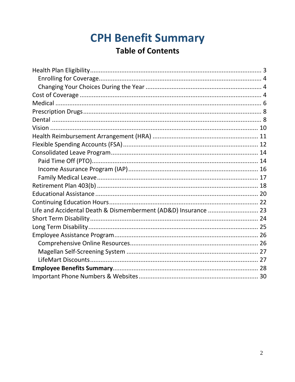# **CPH Benefit Summary Table of Contents**

<span id="page-2-0"></span>

| Life and Accidental Death & Dismemberment (AD&D) Insurance  23 |  |
|----------------------------------------------------------------|--|
|                                                                |  |
|                                                                |  |
|                                                                |  |
|                                                                |  |
|                                                                |  |
|                                                                |  |
|                                                                |  |
|                                                                |  |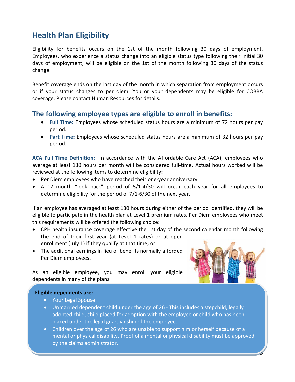## **Health Plan Eligibility**

Eligibility for benefits occurs on the 1st of the month following 30 days of employment. Employees, who experience a status change into an eligible status type following their initial 30 days of employment, will be eligible on the 1st of the month following 30 days of the status change.

Benefit coverage ends on the last day of the month in which separation from employment occurs or if your status changes to per diem. You or your dependents may be eligible for COBRA coverage. Please contact Human Resources for details.

### **The following employee types are eligible to enroll in benefits:**

- **Full Time:** Employees whose scheduled status hours are a minimum of 72 hours per pay period.
- **Part Time:** Employees whose scheduled status hours are a minimum of 32 hours per pay period.

**ACA Full Time Definition:** In accordance with the Affordable Care Act (ACA), employees who average at least 130 hours per month will be considered full-time. Actual hours worked will be reviewed at the following items to determine eligibility:

- Per Diem employees who have reached their one-year anniversary.
- A 12 month "look back" period of 5/1-4/30 will occur each year for all employees to determine eligibility for the period of 7/1-6/30 of the next year.

If an employee has averaged at least 130 hours during either of the period identified, they will be eligible to participate in the health plan at Level 1 premium rates. Per Diem employees who meet this requirements will be offered the following choice:

- CPH health insurance coverage effective the 1st day of the second calendar month following the end of their first year (at Level 1 rates) or at open enrollment (July 1) if they qualify at that time; or
- The additional earnings in lieu of benefits normally afforded Per Diem employees.



3

As an eligible employee, you may enroll your eligible dependents in many of the plans.

#### **Eligible dependents are:**

- Your Legal Spouse
- Unmarried dependent child under the age of 26 This includes a stepchild, legally adopted child, child placed for adoption with the employee or child who has been placed under the legal guardianship of the employee.
- <span id="page-3-0"></span>• Children over the age of 26 who are unable to support him or herself because of a mental or physical disability. Proof of a mental or physical disability must be approved by the claims administrator.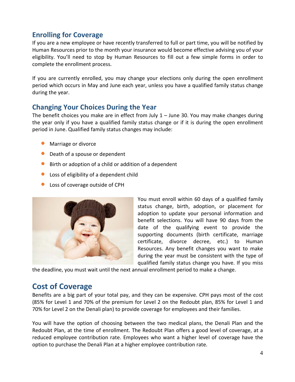## **Enrolling for Coverage**

If you are a new employee or have recently transferred to full or part time, you will be notified by Human Resources prior to the month your insurance would become effective advising you of your eligibility. You'll need to stop by Human Resources to fill out a few simple forms in order to complete the enrollment process.

If you are currently enrolled, you may change your elections only during the open enrollment period which occurs in May and June each year, unless you have a qualified family status change during the year.

### <span id="page-4-0"></span>**Changing Your Choices During the Year**

The benefit choices you make are in effect from July 1 – June 30. You may make changes during the year only if you have a qualified family status change or if it is during the open enrollment period in June. Qualified family status changes may include:

- Marriage or divorce
- Death of a spouse or dependent
- Birth or adoption of a child or addition of a dependent
- Loss of eligibility of a dependent child
- Loss of coverage outside of CPH



You must enroll within 60 days of a qualified family status change, birth, adoption, or placement for adoption to update your personal information and benefit selections. You will have 90 days from the date of the qualifying event to provide the supporting documents (birth certificate, marriage certificate, divorce decree, etc.) to Human Resources. Any benefit changes you want to make during the year must be consistent with the type of qualified family status change you have. If you miss

the deadline, you must wait until the next annual enrollment period to make a change.

## <span id="page-4-1"></span>**Cost of Coverage**

Benefits are a big part of your total pay, and they can be expensive. CPH pays most of the cost (85% for Level 1 and 70% of the premium for Level 2 on the Redoubt plan, 85% for Level 1 and 70% for Level 2 on the Denali plan) to provide coverage for employees and their families.

You will have the option of choosing between the two medical plans, the Denali Plan and the Redoubt Plan, at the time of enrollment. The Redoubt Plan offers a good level of coverage, at a reduced employee contribution rate. Employees who want a higher level of coverage have the option to purchase the Denali Plan at a higher employee contribution rate.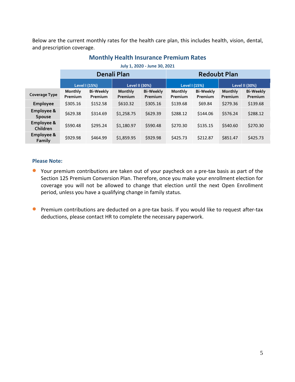Below are the current monthly rates for the health care plan, this includes health, vision, dental, and prescription coverage.

|                             | Denali Plan        |                                        |                    |                             | <b>Redoubt Plan</b> |                             |                    |                             |
|-----------------------------|--------------------|----------------------------------------|--------------------|-----------------------------|---------------------|-----------------------------|--------------------|-----------------------------|
|                             |                    | Level I (15%)<br><b>Level II (30%)</b> |                    | Level I (15%)               |                     | <b>Level II (30%)</b>       |                    |                             |
| <b>Coverage Type</b>        | Monthly<br>Premium | <b>Bi-Weekly</b><br>Premium            | Monthly<br>Premium | <b>Bi-Weekly</b><br>Premium | Monthly<br>Premium  | <b>Bi-Weekly</b><br>Premium | Monthly<br>Premium | <b>Bi-Weekly</b><br>Premium |
| Employee                    | \$305.16           | \$152.58                               | \$610.32           | \$305.16                    | \$139.68            | \$69.84                     | \$279.36           | \$139.68                    |
| Employee &<br><b>Spouse</b> | \$629.38           | \$314.69                               | \$1,258.75         | \$629.39                    | \$288.12            | \$144.06                    | \$576.24           | \$288.12                    |
| Employee &<br>Children      | \$590.48           | \$295.24                               | \$1,180.97         | \$590.48                    | \$270.30            | \$135.15                    | \$540.60           | \$270.30                    |
| Employee &<br>Family        | \$929.98           | \$464.99                               | \$1,859.95         | \$929.98                    | \$425.73            | \$212.87                    | \$851.47           | \$425.73                    |

### **Monthly Health Insurance Premium Rates July 1, 2020 - June 30, 2021**

#### **Please Note:**

- Your premium contributions are taken out of your paycheck on a pre-tax basis as part of the Section 125 Premium Conversion Plan. Therefore, once you make your enrollment election for coverage you will not be allowed to change that election until the next Open Enrollment period, unless you have a qualifying change in family status.
- <span id="page-5-0"></span>• Premium contributions are deducted on a pre-tax basis. If you would like to request after-tax deductions, please contact HR to complete the necessary paperwork.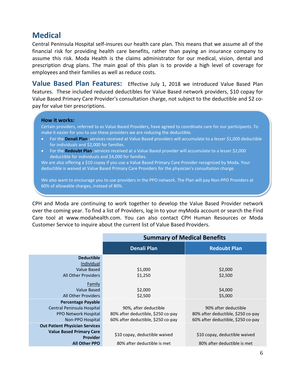## **Medical**

Central Peninsula Hospital self-insures our health care plan. This means that we assume all of the financial risk for providing health care benefits, rather than paying an insurance company to assume this risk. Moda Health is the claims administrator for our medical, vision, dental and prescription drug plans. The main goal of this plan is to provide a high level of coverage for employees and their families as well as reduce costs.

**Value Based Plan Features:** Effective July 1, 2018 we introduced Value Based Plan features. These included reduced deductibles for Value Based network providers, \$10 copay for Value Based Primary Care Provider's consultation charge, not subject to the deductible and \$2 copay for value tier prescriptions.

#### **How it works:**

Certain providers, referred to as Value Based Providers, have agreed to coordinate care for our participants. To make it easier for you to use these providers we are reducing the deductible.

- For the **Denali Plan**, services received at Value Based providers will accumulate to a lesser \$1,000 deductible for individuals and \$2,000 for families.
- For the **Redoubt Plan**, services received at a Value Based provider will accumulate to a lesser \$2,000 deductible for individuals and \$4,000 for families.

We are also offering a \$10 copay if you use a Value Based Primary Care Provider recognized by Moda. Your deductible is waived at Value Based Primary Care Providers for the physician's consultation charge.

We also want to encourage you to use providers in the PPO network. The Plan will pay Non-PPO Providers at 60% of allowable charges, instead of 80%.

CPH and Moda are continuing to work together to develop the Value Based Provider network over the coming year. To find a list of Providers, log in to your myModa account or search the Find Care tool at www.modahealth.com. You can also contact CPH Human Resources or Moda Customer Service to inquire about the current list of Value Based Providers.

|                                                    | <b>Summary of Medical Benefits</b> |                                    |  |  |
|----------------------------------------------------|------------------------------------|------------------------------------|--|--|
|                                                    | <b>Denali Plan</b>                 | <b>Redoubt Plan</b>                |  |  |
| <b>Deductible</b><br>Individual                    |                                    |                                    |  |  |
| Value Based                                        | \$1,000                            | \$2,000                            |  |  |
| <b>All Other Providers</b>                         | \$1,250                            | \$2,500                            |  |  |
| Family                                             |                                    |                                    |  |  |
| <b>Value Based</b>                                 | \$2,000                            | \$4,000                            |  |  |
| All Other Providers                                | \$2,500                            | \$5,000                            |  |  |
| <b>Percentage Payable</b>                          |                                    |                                    |  |  |
| Central Peninsula Hospital                         | 90%, after deductible              | 90% after deductible               |  |  |
| <b>PPO Network Hospital</b>                        | 80% after deductible, \$250 co-pay | 80% after deductible, \$250 co-pay |  |  |
| Non-PPO Hospital                                   | 60% after deductible, \$250 co-pay | 60% after deductible, \$250 co-pay |  |  |
| <b>Out Patient Physician Services</b>              |                                    |                                    |  |  |
| <b>Value Based Primary Care</b><br><b>Provider</b> | \$10 copay, deductible waived      | \$10 copay, deductible waived      |  |  |
| <b>All Other PPO</b>                               | 80% after deductible is met        | 80% after deductible is met        |  |  |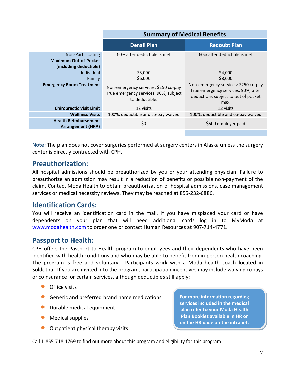|                                                         | <b>Summary of Medical Benefits</b>                                                              |                                                                                                                             |  |  |
|---------------------------------------------------------|-------------------------------------------------------------------------------------------------|-----------------------------------------------------------------------------------------------------------------------------|--|--|
|                                                         | <b>Denali Plan</b>                                                                              | <b>Redoubt Plan</b>                                                                                                         |  |  |
| Non-Participating                                       | 60% after deductible is met                                                                     | 60% after deductible is met                                                                                                 |  |  |
| <b>Maximum Out-of-Pocket</b><br>(including deductible)  |                                                                                                 |                                                                                                                             |  |  |
| Individual                                              | \$3,000                                                                                         | \$4,000                                                                                                                     |  |  |
| Family                                                  | \$6,000                                                                                         | \$8,000                                                                                                                     |  |  |
| <b>Emergency Room Treatment</b>                         | Non-emergency services: \$250 co-pay<br>True emergency services: 90%, subject<br>to deductible. | Non-emergency services: \$250 co-pay<br>True emergency services: 90%, after<br>deductible, subject to out of pocket<br>max. |  |  |
| <b>Chiropractic Visit Limit</b>                         | 12 visits                                                                                       | 12 visits                                                                                                                   |  |  |
| <b>Wellness Visits</b>                                  | 100%, deductible and co-pay waived                                                              | 100%, deductible and co-pay waived                                                                                          |  |  |
| <b>Health Reimbursement</b><br><b>Arrangement (HRA)</b> | \$0                                                                                             | \$500 employer paid                                                                                                         |  |  |

**Note:** The plan does not cover surgeries performed at surgery centers in Alaska unless the surgery center is directly contracted with CPH.

### **Preauthorization:**

All hospital admissions should be preauthorized by you or your attending physician. Failure to preauthorize an admission may result in a reduction of benefits or possible non-payment of the claim. Contact Moda Health to obtain preauthorization of hospital admissions, case management services or medical necessity reviews. They may be reached at 855-232-6886.

### **Identification Cards:**

You will receive an identification card in the mail. If you have misplaced your card or have dependents on your plan that will need additional cards log in to MyModa at [www.modahealth.com t](http://www.modahealth.com/)o order one or contact Human Resources at 907-714-4771.

### **Passport to Health:**

CPH offers the Passport to Health program to employees and their dependents who have been identified with health conditions and who may be able to benefit from in person health coaching. The program is free and voluntary. Participants work with a Moda health coach located in Soldotna. If you are invited into the program, participation incentives may include waiving copays or coinsurance for certain services, although deductibles still apply:

- **•** Office visits
- Generic and preferred brand name medications
- Durable medical equipment
- Medical supplies
- Outpatient physical therapy visits

**For more information regarding services included in the medical plan refer to your Moda Health Plan Booklet available in HR or on the HR page on the intranet.**

Call 1-855-718-1769 to find out more about this program and eligibility for this program.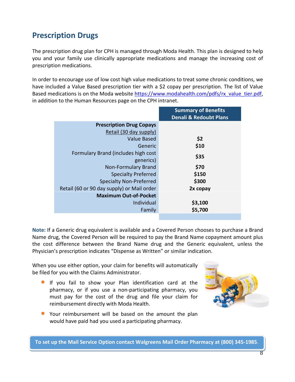## <span id="page-8-0"></span>**Prescription Drugs**

The prescription drug plan for CPH is managed through Moda Health. This plan is designed to help you and your family use clinically appropriate medications and manage the increasing cost of prescription medications.

In order to encourage use of low cost high value medications to treat some chronic conditions, we have included a Value Based prescription tier with a \$2 copay per prescription. The list of Value Based medications is on the Moda website [https://www.modahealth.com/pdfs/rx\\_value\\_tier.pdf,](https://www.modahealth.com/pdfs/rx_value_tier.pdf) in addition to the Human Resources page on the CPH intranet.

|                                            | <b>Summary of Benefits</b>        |
|--------------------------------------------|-----------------------------------|
|                                            | <b>Denali &amp; Redoubt Plans</b> |
| <b>Prescription Drug Copays</b>            |                                   |
| Retail (30 day supply)                     |                                   |
| <b>Value Based</b>                         | \$2                               |
| Generic                                    | \$10                              |
| Formulary Brand (includes high cost        | \$35                              |
| generics)                                  |                                   |
| <b>Non-Formulary Brand</b>                 | \$70                              |
| <b>Specialty Preferred</b>                 | \$150                             |
| <b>Specialty Non-Preferred</b>             | \$300                             |
| Retail (60 or 90 day supply) or Mail order | 2x copay                          |
| <b>Maximum Out-of-Pocket</b>               |                                   |
| Individual                                 | \$3,100                           |
| Family                                     | \$5,700                           |
|                                            |                                   |

**Note:** If a Generic drug equivalent is available and a Covered Person chooses to purchase a Brand Name drug, the Covered Person will be required to pay the Brand Name copayment amount plus the cost difference between the Brand Name drug and the Generic equivalent, unless the Physician's prescription indicates "Dispense as Written" or similar indication.

When you use either option, your claim for benefits will automatically be filed for you with the Claims Administrator.

- If you fail to show your Plan identification card at the pharmacy, or if you use a non-participating pharmacy, you must pay for the cost of the drug and file your claim for reimbursement directly with Moda Health.
- Your reimbursement will be based on the amount the plan would have paid had you used a participating pharmacy.



<span id="page-8-1"></span>To set up the Mail Service Option contact Walgreens Mail Order Pharmacy at (800) 345-1985.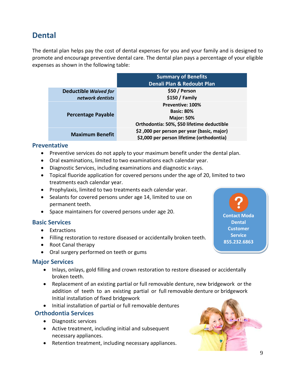## **Dental**

The dental plan helps pay the cost of dental expenses for you and your family and is designed to promote and encourage preventive dental care. The dental plan pays a percentage of your eligible expenses as shown in the following table:

|                              | <b>Summary of Benefits</b>                 |  |  |
|------------------------------|--------------------------------------------|--|--|
|                              | Denali Plan & Redoubt Plan                 |  |  |
| <b>Deductible Waived for</b> | \$50 / Person                              |  |  |
| network dentists             | \$150 / Family                             |  |  |
|                              | Preventive: 100%                           |  |  |
| <b>Percentage Payable</b>    | <b>Basic: 80%</b>                          |  |  |
|                              | <b>Major: 50%</b>                          |  |  |
|                              | Orthodontia: 50%, \$50 lifetime deductible |  |  |
| <b>Maximum Benefit</b>       | \$2,000 per person per year (basic, major) |  |  |
|                              | \$2,000 per person lifetime (orthodontia)  |  |  |

### **Preventative**

- Preventive services do not apply to your maximum benefit under the dental plan.
- Oral examinations, limited to two examinations each calendar year.
- Diagnostic Services, including examinations and diagnostic x-rays.
- Topical fluoride application for covered persons under the age of 20, limited to two treatments each calendar year.
- Prophylaxis, limited to two treatments each calendar year.
- Sealants for covered persons under age 14, limited to use on permanent teeth.
- Space maintainers for covered persons under age 20.

### **Basic Services**

- Extractions
- Filling restoration to restore diseased or accidentally broken teeth.
- Root Canal therapy
- Oral surgery performed on teeth or gums

### **Major Services**

- Inlays, onlays, gold filling and crown restoration to restore diseased or accidentally broken teeth.
- Replacement of an existing partial or full removable denture, new bridgework or the addition of teeth to an existing partial or full removable denture or bridgework Initial installation of fixed bridgework
- Initial installation of partial or full removable dentures

### **Orthodontia Services**

- Diagnostic services
- Active treatment, including initial and subsequent necessary appliances.
- Retention treatment, including necessary appliances.





**Contact Moda Dental**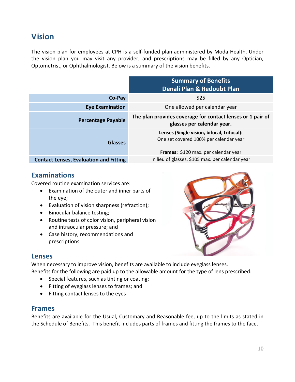## <span id="page-10-0"></span>**Vision**

The vision plan for employees at CPH is a self-funded plan administered by Moda Health. Under the vision plan you may visit any provider, and prescriptions may be filled by any Optician, Optometrist, or Ophthalmologist. Below is a summary of the vision benefits.

|                                               | <b>Summary of Benefits</b><br>Denali Plan & Redoubt Plan                                                                     |
|-----------------------------------------------|------------------------------------------------------------------------------------------------------------------------------|
| Co-Pay                                        | \$25                                                                                                                         |
| <b>Eye Examination</b>                        | One allowed per calendar year                                                                                                |
| <b>Percentage Payable</b>                     | The plan provides coverage for contact lenses or 1 pair of<br>glasses per calendar year.                                     |
| <b>Glasses</b>                                | Lenses (Single vision, bifocal, trifocal):<br>One set covered 100% per calendar year<br>Frames: \$120 max. per calendar year |
| <b>Contact Lenses, Evaluation and Fitting</b> | In lieu of glasses, \$105 max. per calendar year                                                                             |

### **Examinations**

Covered routine examination services are:

- Examination of the outer and inner parts of the eye;
- Evaluation of vision sharpness (refraction);
- Binocular balance testing;
- Routine tests of color vision, peripheral vision and intraocular pressure; and
- Case history, recommendations and prescriptions.



## **Lenses**

When necessary to improve vision, benefits are available to include eyeglass lenses. Benefits for the following are paid up to the allowable amount for the type of lens prescribed:

- Special features, such as tinting or coating;
- Fitting of eyeglass lenses to frames; and
- Fitting contact lenses to the eyes

### **Frames**

Benefits are available for the Usual, Customary and Reasonable fee, up to the limits as stated in the Schedule of Benefits. This benefit includes parts of frames and fitting the frames to the face.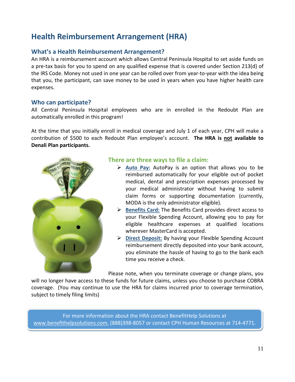## <span id="page-11-0"></span>**Health Reimbursement Arrangement (HRA)**

### **What's a Health Reimbursement Arrangement?**

An HRA is a reimbursement account which allows Central Peninsula Hospital to set aside funds on a pre-tax basis for you to spend on any qualified expense that is covered under Section 213(d) of the IRS Code. Money not used in one year can be rolled over from year-to-year with the idea being that you, the participant, can save money to be used in years when you have higher health care expenses.

### **Who can participate?**

All Central Peninsula Hospital employees who are in enrolled in the Redoubt Plan are automatically enrolled in this program!

At the time that you initially enroll in medical coverage and July 1 of each year, CPH will make a contribution of \$500 to each Redoubt Plan employee's account. **The HRA is not available to Denali Plan participants.**



### **There are three ways to file a claim:**

- **Auto Pay:** AutoPay is an option that allows you to be reimbursed automatically for your eligible out-of pocket medical, dental and prescription expenses processed by your medical administrator without having to submit claim forms or supporting documentation (currently, MODA is the only administrator eligible).
- **Benefits Card:** The Benefits Card provides direct access to your Flexible Spending Account, allowing you to pay for eligible healthcare expenses at qualified locations wherever MasterCard is accepted.
- **Direct Deposit:** By having your Flexible Spending Account reimbursement directly deposited into your bank account, you eliminate the hassle of having to go to the bank each time you receive a check.

Please note, when you terminate coverage or change plans, you

will no longer have access to these funds for future claims, unless you choose to purchase COBRA coverage. (You may continue to use the HRA for claims incurred prior to coverage termination, subject to timely filing limits)

For more information about the HRA contact BenefitHelp Solutions at [www.benefithelpsolutions.com,](http://www.benefithelpsolutions.com/) (888)398-8057 or contact CPH Human Resources at 714-4771.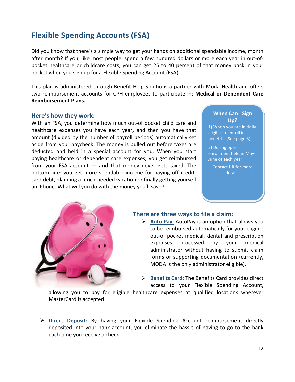## <span id="page-12-0"></span>**Flexible Spending Accounts (FSA)**

Did you know that there's a simple way to get your hands on additional spendable income, month after month? If you, like most people, spend a few hundred dollars or more each year in out-ofpocket healthcare or childcare costs, you can get 25 to 40 percent of that money back in your pocket when you sign up for a Flexible Spending Account (FSA).

This plan is administered through Benefit Help Solutions a partner with Moda Health and offers two reimbursement accounts for CPH employees to participate in: **Medical or Dependent Care Reimbursement Plans.** 

#### **Here's how they work:**

With an FSA, you determine how much out-of pocket child care and healthcare expenses you have each year, and then you have that amount (divided by the number of payroll periods) automatically set aside from your paycheck. The money is pulled out before taxes are deducted and held in a special account for you. When you start paying healthcare or dependent care expenses, you get reimbursed from your FSA account — and that money never gets taxed. The bottom line: you get more spendable income for paying off creditcard debt, planning a much-needed vacation or finally getting yourself an iPhone. What will you do with the money you'll save?

#### **When Can I Sign Up?**

1) When you are initially eligible to enroll in benefits. (See page 3)

2) During open enrollment held in May-June of each year.

Contact HR for more details.



### **There are three ways to file a claim:**

- **Auto Pay:** AutoPay is an option that allows you to be reimbursed automatically for your eligible out-of pocket medical, dental and prescription expenses processed by your medical administrator without having to submit claim forms or supporting documentation (currently, MODA is the only administrator eligible).
- **Benefits Card:** The Benefits Card provides direct access to your Flexible Spending Account,

allowing you to pay for eligible healthcare expenses at qualified locations wherever MasterCard is accepted.

 **Direct Deposit:** By having your Flexible Spending Account reimbursement directly deposited into your bank account, you eliminate the hassle of having to go to the bank each time you receive a check.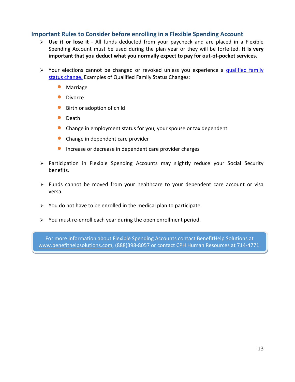### **Important Rules to Consider before enrolling in a Flexible Spending Account**

- **Use it or lose it**  All funds deducted from your paycheck and are placed in a Flexible Spending Account must be used during the plan year or they will be forfeited. **It is very important that you deduct what you normally expect to pay for out-of-pocket services.**
- $\triangleright$  Your elections cannot be changed or revoked unless you experience a qualified family [status change.](http://www.benefithelpsolutions.com/members/fsa_change_election.shtml) Examples of Qualified Family Status Changes:
	- Marriage
	- Divorce
	- Birth or adoption of child
	- Death
	- Change in employment status for you, your spouse or tax dependent
	- Change in dependent care provider
	- **•** Increase or decrease in dependent care provider charges
- Participation in Flexible Spending Accounts may slightly reduce your Social Security benefits.
- $\triangleright$  Funds cannot be moved from your healthcare to your dependent care account or visa versa.
- $\triangleright$  You do not have to be enrolled in the medical plan to participate.
- $\triangleright$  You must re-enroll each year during the open enrollment period.

For more information about Flexible Spending Accounts contact BenefitHelp Solutions at [www.benefithelpsolutions.com,](http://www.benefithelpsolutions.com/) (888)398-8057 or contact CPH Human Resources at 714-4771.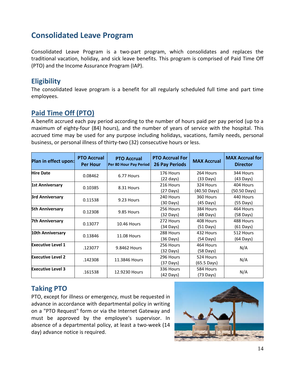## <span id="page-14-0"></span>**Consolidated Leave Program**

Consolidated Leave Program is a two-part program, which consolidates and replaces the traditional vacation, holiday, and sick leave benefits. This program is comprised of Paid Time Off (PTO) and the Income Assurance Program (IAP).

## **Eligibility**

The consolidated leave program is a benefit for all regularly scheduled full time and part time employees.

## <span id="page-14-1"></span>**Paid Time Off (PTO)**

A benefit accrued each pay period according to the number of hours paid per pay period (up to a maximum of eighty-four (84) hours), and the number of years of service with the hospital. This accrued time may be used for any purpose including holidays, vacations, family needs, personal business, or personal illness of thirty-two (32) consecutive hours or less.

| Plan in effect upon:        | <b>PTO Accrual</b><br><b>Per Hour</b> | <b>PTO Accrual</b><br>Per 80 Hour Pay Period | <b>PTO Accrual For</b><br><b>26 Pay Periods</b> | <b>MAX Accrual</b>    | <b>MAX Accrual for</b><br><b>Director</b> |  |
|-----------------------------|---------------------------------------|----------------------------------------------|-------------------------------------------------|-----------------------|-------------------------------------------|--|
| <b>Hire Date</b>            | 0.08462                               | 6.77 Hours                                   | 176 Hours                                       | 264 Hours             | 344 Hours                                 |  |
|                             |                                       |                                              | $(22 \text{ days})$                             | $(33 \text{ Days})$   | $(43 \text{ Days})$                       |  |
| <b>1st Anniversary</b>      | 0.10385                               | 8.31 Hours                                   | 216 Hours                                       | 324 Hours             | 404 Hours                                 |  |
|                             |                                       |                                              | $(27 \text{ Days})$                             | (40.50 Days)          | (50.50 Days)                              |  |
| <b>3rd Anniversary</b>      | 0.11538                               | 9.23 Hours                                   | 240 Hours                                       | 360 Hours             | 440 Hours                                 |  |
|                             |                                       |                                              | (30 Days)                                       | $(45 \text{ Days})$   | (55 Days)                                 |  |
| <b>5th Anniversary</b>      | 0.12308                               | 9.85 Hours                                   | 256 Hours                                       | 384 Hours             | 464 Hours                                 |  |
|                             |                                       |                                              | $(32 \text{ Days})$                             | $(48 \text{ Days})$   | (58 Days)                                 |  |
| 7th Anniversary             |                                       |                                              | 272 Hours                                       | 408 Hours             | 488 Hours                                 |  |
|                             | 0.13077                               | <b>10.46 Hours</b>                           | $(34 \text{ Days})$                             | $(51 \text{ Days})$   | $(61$ Days)                               |  |
| 10th Anniversary<br>0.13846 |                                       | <b>11.08 Hours</b>                           | 288 Hours                                       | 432 Hours             | 512 Hours                                 |  |
|                             |                                       |                                              | $(36 \text{ Days})$                             | $(54 \text{ Days})$   | $(64$ Days)                               |  |
| <b>Executive Level 1</b>    |                                       |                                              | 256 Hours                                       | 464 Hours             |                                           |  |
|                             | .123077                               | 9.8462 Hours                                 | $(32 \text{ Days})$                             | $(58 \text{ Days})$   | N/A                                       |  |
| <b>Executive Level 2</b>    |                                       |                                              | 296 Hours                                       | 524 Hours             |                                           |  |
|                             | .142308                               | 11.3846 Hours                                | $(37 \text{ Days})$                             | $(65.5 \text{ Days})$ | N/A                                       |  |
| <b>Executive Level 3</b>    |                                       | 12.9230 Hours                                | 336 Hours                                       | 584 Hours             |                                           |  |
|                             | .161538                               |                                              | $(42 \text{ Days})$                             | $(73 \text{ Days})$   | N/A                                       |  |

## **Taking PTO**

PTO, except for illness or emergency, must be requested in advance in accordance with departmental policy in writing on a "PTO Request" form or via the Internet Gateway and must be approved by the employee's supervisor. In absence of a departmental policy, at least a two-week (14 day) advance notice is required.

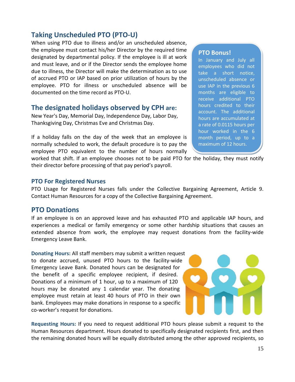## **Taking Unscheduled PTO (PTO-U)**

When using PTO due to illness and/or an unscheduled absence, the employee must contact his/her Director by the required time designated by departmental policy. If the employee is ill at work and must leave, and or if the Director sends the employee home due to illness, the Director will make the determination as to use of accrued PTO or IAP based on prior utilization of hours by the employee. PTO for illness or unscheduled absence will be documented on the time record as PTO-U.

### **The designated holidays observed by CPH are:**

New Year's Day, Memorial Day, Independence Day, Labor Day, Thanksgiving Day, Christmas Eve and Christmas Day.

If a holiday falls on the day of the week that an employee is normally scheduled to work, the default procedure is to pay the employee PTO equivalent to the number of hours normally

#### **PTO Bonus!**

In January and July all employees who did not take a short notice, unscheduled absence or use IAP in the previous 6 months are eligible to receive additional PTO hours credited to their account. The additional hours are accumulated at a rate of 0.0115 hours per hour worked in the 6 month period, up to a maximum of 12 hours.

worked that shift. If an employee chooses not to be paid PTO for the holiday, they must notify their director before processing of that pay period's payroll.

### **PTO For Registered Nurses**

PTO Usage for Registered Nurses falls under the Collective Bargaining Agreement, Article 9. Contact Human Resources for a copy of the Collective Bargaining Agreement.

### **PTO Donations**

If an employee is on an approved leave and has exhausted PTO and applicable IAP hours, and experiences a medical or family emergency or some other hardship situations that causes an extended absence from work, the employee may request donations from the facility-wide Emergency Leave Bank.

**Donating Hours:** All staff members may submit a written request to donate accrued, unused PTO hours to the facility-wide Emergency Leave Bank. Donated hours can be designated for the benefit of a specific employee recipient, if desired. Donations of a minimum of 1 hour, up to a maximum of 120 hours may be donated any 1 calendar year. The donating employee must retain at least 40 hours of PTO in their own bank. Employees may make donations in response to a specific co-worker's request for donations.



**Requesting Hours:** If you need to request additional PTO hours please submit a request to the Human Resources department. Hours donated to specifically designated recipients first, and then the remaining donated hours will be equally distributed among the other approved recipients, so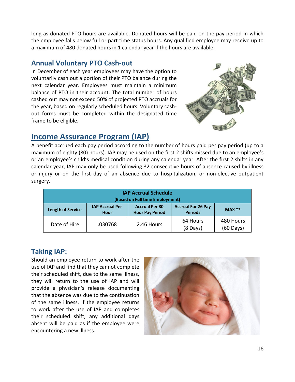long as donated PTO hours are available. Donated hours will be paid on the pay period in which the employee falls below full or part time status hours. Any qualified employee may receive up to a maximum of 480 donated hours in 1 calendar year if the hours are available.

### **Annual Voluntary PTO Cash-out**

In December of each year employees may have the option to voluntarily cash out a portion of their PTO balance during the next calendar year. Employees must maintain a minimum balance of PTO in their account. The total number of hours cashed out may not exceed 50% of projected PTO accruals for the year, based on regularly scheduled hours. Voluntary cashout forms must be completed within the designated time frame to be eligible.



## <span id="page-16-0"></span>**Income Assurance Program (IAP)**

A benefit accrued each pay period according to the number of hours paid per pay period (up to a maximum of eighty (80) hours). IAP may be used on the first 2 shifts missed due to an employee's or an employee's child's medical condition during any calendar year. After the first 2 shifts in any calendar year, IAP may only be used following 32 consecutive hours of absence caused by illness or injury or on the first day of an absence due to hospitalization, or non-elective outpatient surgery.

| <b>IAP Accrual Schedule</b><br>(Based on Full time Employment)                                                                                                           |         |            |                                |                                  |  |
|--------------------------------------------------------------------------------------------------------------------------------------------------------------------------|---------|------------|--------------------------------|----------------------------------|--|
| <b>IAP Accrual Per</b><br><b>Accrual Per 80</b><br><b>Accrual For 26 Pay</b><br>$MAX **$<br><b>Length of Service</b><br><b>Hour Pay Period</b><br><b>Periods</b><br>Hour |         |            |                                |                                  |  |
| Date of Hire                                                                                                                                                             | .030768 | 2.46 Hours | 64 Hours<br>$(8 \text{ Days})$ | 480 Hours<br>$(60 \text{ Days})$ |  |

## **Taking IAP:**

Should an employee return to work after the use of IAP and find that they cannot complete their scheduled shift, due to the same illness, they will return to the use of IAP and will provide a physician's release documenting that the absence was due to the continuation of the same illness. If the employee returns to work after the use of IAP and completes their scheduled shift, any additional days absent will be paid as if the employee were encountering a new illness.

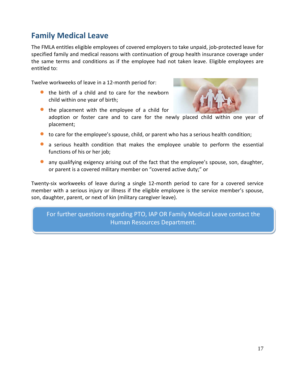## <span id="page-17-0"></span>**Family Medical Leave**

The FMLA entitles eligible employees of covered employers to take unpaid, job-protected leave for specified family and medical reasons with continuation of group health insurance coverage under the same terms and conditions as if the employee had not taken leave. Eligible employees are entitled to:

Twelve workweeks of leave in a 12-month period for:

• the birth of a child and to care for the newborn child within one year of birth;



- the placement with the employee of a child for adoption or foster care and to care for the newly placed child within one year of placement;
- to care for the employee's spouse, child, or parent who has a serious health condition;
- a serious health condition that makes the employee unable to perform the essential functions of his or her job;
- any qualifying exigency arising out of the fact that the employee's spouse, son, daughter, or parent is a covered military member on "covered active duty;" or

Twenty-six workweeks of leave during a single 12-month period to care for a covered service member with a serious injury or illness if the eligible employee is the service member's spouse, son, daughter, parent, or next of kin (military caregiver leave).

For further questions regarding PTO, IAP OR Family Medical Leave contact the Human Resources Department.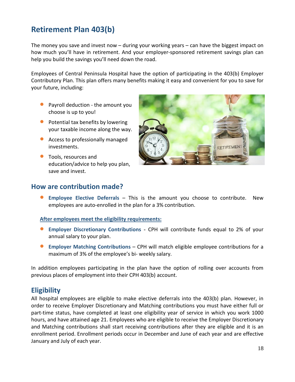## <span id="page-18-0"></span>**Retirement Plan 403(b)**

The money you save and invest now – during your working years – can have the biggest impact on how much you'll have in retirement. And your employer-sponsored retirement savings plan can help you build the savings you'll need down the road.

Employees of Central Peninsula Hospital have the option of participating in the 403(b) Employer Contributory Plan. This plan offers many benefits making it easy and convenient for you to save for your future, including:

- Payroll deduction the amount you choose is up to you!
- Potential tax benefits by lowering your taxable income along the way.
- Access to professionally managed investments.
- **•** Tools, resources and education/advice to help you plan, save and invest.



### **How are contribution made?**

• **Employee Elective Deferrals** – This is the amount you choose to contribute. New employees are auto-enrolled in the plan for a 3% contribution.

#### **After employees meet the eligibility requirements:**

- **Employer Discretionary Contributions** CPH will contribute funds equal to 2% of your annual salary to your plan.
- **Employer Matching Contributions** CPH will match eligible employee contributions for a maximum of 3% of the employee's bi- weekly salary.

In addition employees participating in the plan have the option of rolling over accounts from previous places of employment into their CPH 403(b) account.

## **Eligibility**

All hospital employees are eligible to make elective deferrals into the 403(b) plan. However, in order to receive Employer Discretionary and Matching contributions you must have either full or part-time status, have completed at least one eligibility year of service in which you work 1000 hours, and have attained age 21. Employees who are eligible to receive the Employer Discretionary and Matching contributions shall start receiving contributions after they are eligible and it is an enrollment period. Enrollment periods occur in December and June of each year and are effective January and July of each year.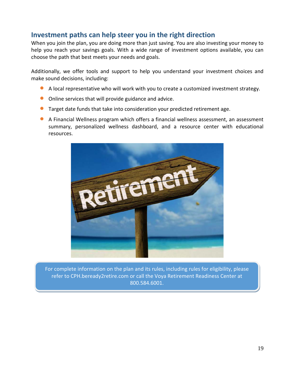## **Investment paths can help steer you in the right direction**

When you join the plan, you are doing more than just saving. You are also investing your money to help you reach your savings goals. With a wide range of investment options available, you can choose the path that best meets your needs and goals.

Additionally, we offer tools and support to help you understand your investment choices and make sound decisions, including:

- <sup>A</sup> local representative who will work with you to create a customized investment strategy.
- Online services that will provide guidance and advice.
- Target date funds that take into consideration your predicted retirement age.
- A Financial Wellness program which offers a financial wellness assessment, an assessment summary, personalized wellness dashboard, and a resource center with educational resources.



For complete information on the plan and its rules, including rules for eligibility, please refer to CPH.beready2retire.com or call the Voya Retirement Readiness Center at 800.584.6001.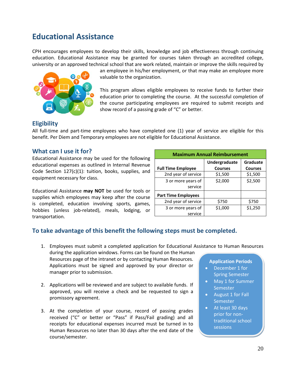## <span id="page-20-0"></span>**Educational Assistance**

CPH encourages employees to develop their skills, knowledge and job effectiveness through continuing education. Educational Assistance may be granted for courses taken through an accredited college, university or an approved technical school that are work related, maintain or improve the skills required by



an employee in his/her employment, or that may make an employee more valuable to the organization.

This program allows eligible employees to receive funds to further their education prior to completing the course. At the successful completion of the course participating employees are required to submit receipts and show record of a passing grade of "C" or better.

### **Eligibility**

All full-time and part-time employees who have completed one (1) year of service are eligible for this benefit. Per Diem and Temporary employees are not eligible for Educational Assistance.

### **What can I use it for?**

Educational Assistance may be used for the following educational expenses as outlined in Internal Revenue Code Section 127(c)(1): tuition, books, supplies, and equipment necessary for class.

Educational Assistance **may NOT** be used for tools or supplies which employees may keep after the course is completed, education involving sports, games, hobbies (unless job-related), meals, lodging, or transportation.

| <b>Maximum Annual Reimbursement</b> |                                 |                            |  |  |
|-------------------------------------|---------------------------------|----------------------------|--|--|
| <b>Full Time Employee</b>           | Undergraduate<br><b>Courses</b> | Graduate<br><b>Courses</b> |  |  |
| 2nd year of service                 | \$1,500                         | \$1,500                    |  |  |
| 3 or more years of<br>service       | \$2,000                         | \$2,500                    |  |  |
| <b>Part Time Employees</b>          |                                 |                            |  |  |
| 2nd year of service                 | \$750                           | \$750                      |  |  |
| 3 or more years of<br>service       | \$1,000                         | \$1,250                    |  |  |

### **To take advantage of this benefit the following steps must be completed.**

- **Application Periods** • December 1 for 1. Employees must submit a completed application for Educational Assistance to Human Resources during the application windows. Forms can be found on the Human Resources page of the intranet or by contacting Human Resources. Applications must be signed and approved by your director or manager prior to submission.
- 2. Applications will be reviewed and are subject to available funds. If approved, you will receive a check and be requested to sign a promissory agreement.
- 3. At the completion of your course, record of passing grades received ("C" or better or "Pass" if Pass/Fail grading) and all receipts for educational expenses incurred must be turned in to Human Resources no later than 30 days after the end date of the course/semester.
- Spring Semester
- May 1 for Summer Semester
- August 1 for Fall **Semester**
- At least 30 days prior for nontraditional school sessions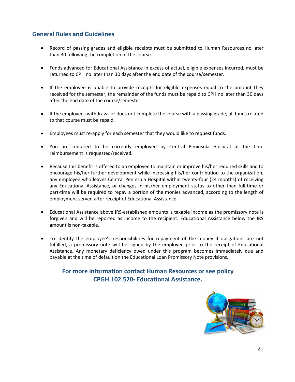### **General Rules and Guidelines**

- Record of passing grades and eligible receipts must be submitted to Human Resources no later than 30 following the completion of the course.
- Funds advanced for Educational Assistance in excess of actual, eligible expenses incurred, must be returned to CPH no later than 30 days after the end date of the course/semester.
- If the employee is unable to provide receipts for eligible expenses equal to the amount they received for the semester, the remainder of the funds must be repaid to CPH no later than 30 days after the end date of the course/semester.
- If the employees withdraws or does not complete the course with a passing grade, all funds related to that course must be repaid.
- Employees must re-apply for each semester that they would like to request funds.
- You are required to be currently employed by Central Peninsula Hospital at the time reimbursement is requested/received.
- Because this benefit is offered to an employee to maintain or improve his/her required skills and to encourage his/her further development while increasing his/her contribution to the organization, any employee who leaves Central Peninsula Hospital within twenty-four (24 months) of receiving any Educational Assistance, or changes in his/her employment status to other than full-time or part-time will be required to repay a portion of the monies advanced, according to the length of employment served after receipt of Educational Assistance.
- Educational Assistance above IRS-established amounts is taxable income as the promissory note is forgiven and will be reported as income to the recipient. Educational Assistance below the IRS amount is non-taxable.
- To identify the employee's responsibilities for repayment of the money if obligations are not fulfilled, a promissory note will be signed by the employee prior to the receipt of Educational Assistance. Any monetary deficiency owed under this program becomes immediately due and payable at the time of default on the Educational Loan Promissory Note provisions.

### **For more information contact Human Resources or see policy CPGH.102.520- Educational Assistance.**

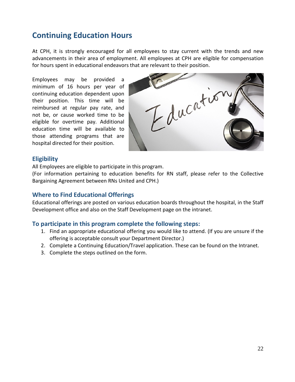## <span id="page-22-0"></span>**Continuing Education Hours**

At CPH, it is strongly encouraged for all employees to stay current with the trends and new advancements in their area of employment. All employees at CPH are eligible for compensation for hours spent in educational endeavors that are relevant to their position.

Employees may be provided a minimum of 16 hours per year of continuing education dependent upon their position. This time will be reimbursed at regular pay rate, and not be, or cause worked time to be eligible for overtime pay. Additional education time will be available to those attending programs that are hospital directed for their position.

Education

### **Eligibility**

All Employees are eligible to participate in this program.

(For information pertaining to education benefits for RN staff, please refer to the Collective Bargaining Agreement between RNs United and CPH.)

### **Where to Find Educational Offerings**

Educational offerings are posted on various education boards throughout the hospital, in the Staff Development office and also on the Staff Development page on the intranet.

### **To participate in this program complete the following steps:**

- 1. Find an appropriate educational offering you would like to attend. (If you are unsure if the offering is acceptable consult your Department Director.)
- 2. Complete a Continuing Education/Travel application. These can be found on the Intranet.
- 3. Complete the steps outlined on the form.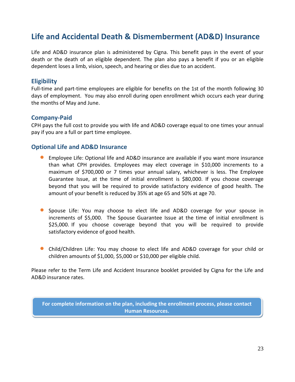## <span id="page-23-0"></span>**Life and Accidental Death & Dismemberment (AD&D) Insurance**

Life and AD&D insurance plan is administered by Cigna. This benefit pays in the event of your death or the death of an eligible dependent. The plan also pays a benefit if you or an eligible dependent loses a limb, vision, speech, and hearing or dies due to an accident.

### **Eligibility**

Full-time and part-time employees are eligible for benefits on the 1st of the month following 30 days of employment. You may also enroll during open enrollment which occurs each year during the months of May and June.

### **Company-Paid**

CPH pays the full cost to provide you with life and AD&D coverage equal to one times your annual pay if you are a full or part time employee.

### **Optional Life and AD&D Insurance**

- Employee Life: Optional life and AD&D insurance are available if you want more insurance than what CPH provides. Employees may elect coverage in \$10,000 increments to a maximum of \$700,000 or 7 times your annual salary, whichever is less. The Employee Guarantee Issue, at the time of initial enrollment is \$80,000. If you choose coverage beyond that you will be required to provide satisfactory evidence of good health. The amount of your benefit is reduced by 35% at age 65 and 50% at age 70.
- Spouse Life: You may choose to elect life and AD&D coverage for your spouse in increments of \$5,000. The Spouse Guarantee Issue at the time of initial enrollment is \$25,000. If you choose coverage beyond that you will be required to provide satisfactory evidence of good health.
- Child/Children Life: You may choose to elect life and AD&D coverage for your child or children amounts of \$1,000, \$5,000 or \$10,000 per eligible child.

Please refer to the Term Life and Accident Insurance booklet provided by Cigna for the Life and AD&D insurance rates.

**For complete information on the plan, including the enrollment process, please contact Human Resources.**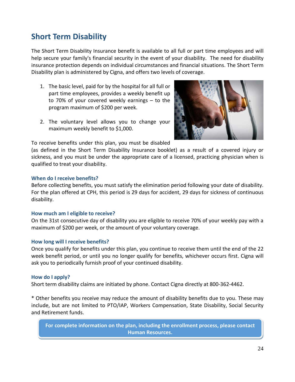## <span id="page-24-0"></span>**Short Term Disability**

The Short Term Disability Insurance benefit is available to all full or part time employees and will help secure your family's financial security in the event of your disability. The need for disability insurance protection depends on individual circumstances and financial situations. The Short Term Disability plan is administered by Cigna, and offers two levels of coverage.

- 1. The basic level, paid for by the hospital for all full or part time employees, provides a weekly benefit up to 70% of your covered weekly earnings – to the program maximum of \$200 per week.
- 2. The voluntary level allows you to change your maximum weekly benefit to \$1,000.



To receive benefits under this plan, you must be disabled

(as defined in the Short Term Disability Insurance booklet) as a result of a covered injury or sickness, and you must be under the appropriate care of a licensed, practicing physician when is qualified to treat your disability.

#### **When do I receive benefits?**

Before collecting benefits, you must satisfy the elimination period following your date of disability. For the plan offered at CPH, this period is 29 days for accident, 29 days for sickness of continuous disability.

#### **How much am I eligible to receive?**

On the 31st consecutive day of disability you are eligible to receive 70% of your weekly pay with a maximum of \$200 per week, or the amount of your voluntary coverage.

#### **How long will I receive benefits?**

Once you qualify for benefits under this plan, you continue to receive them until the end of the 22 week benefit period, or until you no longer qualify for benefits, whichever occurs first. Cigna will ask you to periodically furnish proof of your continued disability.

#### **How do I apply?**

Short term disability claims are initiated by phone. Contact Cigna directly at 800-362-4462.

\* Other benefits you receive may reduce the amount of disability benefits due to you. These may include, but are not limited to PTO/IAP, Workers Compensation, State Disability, Social Security and Retirement funds.

**For complete information on the plan, including the enrollment process, please contact Human Resources.**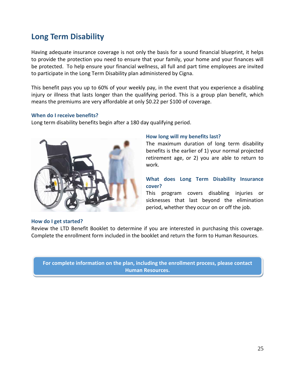## <span id="page-25-0"></span>**Long Term Disability**

Having adequate insurance coverage is not only the basis for a sound financial blueprint, it helps to provide the protection you need to ensure that your family, your home and your finances will be protected. To help ensure your financial wellness, all full and part time employees are invited to participate in the Long Term Disability plan administered by Cigna.

This benefit pays you up to 60% of your weekly pay, in the event that you experience a disabling injury or illness that lasts longer than the qualifying period. This is a group plan benefit, which means the premiums are very affordable at only \$0.22 per \$100 of coverage.

#### **When do I receive benefits?**

Long term disability benefits begin after a 180 day qualifying period.



#### **How long will my benefits last?**

The maximum duration of long term disability benefits is the earlier of 1) your normal projected retirement age, or 2) you are able to return to work.

### **What does Long Term Disability Insurance cover?**

This program covers disabling injuries or sicknesses that last beyond the elimination period, whether they occur on or off the job.

#### **How do I get started?**

Review the LTD Benefit Booklet to determine if you are interested in purchasing this coverage. Complete the enrollment form included in the booklet and return the form to Human Resources.

**For complete information on the plan, including the enrollment process, please contact Human Resources.**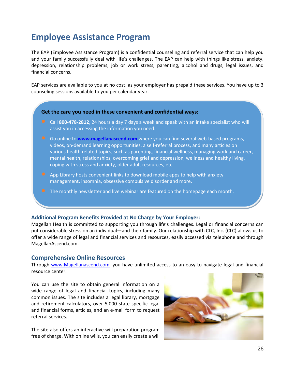## <span id="page-26-0"></span>**Employee Assistance Program**

The EAP (Employee Assistance Program) is a confidential counseling and referral service that can help you and your family successfully deal with life's challenges. The EAP can help with things like stress, anxiety, depression, relationship problems, job or work stress, parenting, alcohol and drugs, legal issues, and financial concerns.

EAP services are available to you at no cost, as your employer has prepaid these services. You have up to 3 counseling sessions available to you per calendar year.

#### **Get the care you need in these convenient and confidential ways:**

- Call **800-478-2812**, 24 hours a day 7 days a week and speak with an intake specialist who will assist you in accessing the information you need.
- Go online to **[www.magellanascend.com](http://www.magellanascend.com/)** where you can find several web-based programs, videos, on-demand learning opportunities, a self-referral process, and many articles on various health related topics, such as parenting, financial wellness, managing work and career, mental health, relationships, overcoming grief and depression, wellness and healthy living, coping with stress and anxiety, older adult resources, etc.
- App Library hosts convenient links to download mobile apps to help with anxiety management, insomnia, obsessive compulsive disorder and more.
- **•** The monthly newsletter and live webinar are featured on the homepage each month.

#### **Additional Program Benefits Provided at No Charge by Your Employer:**

Magellan Health is committed to supporting you through life's challenges. Legal or financial concerns can put considerable stress on an individual—and their family. Our relationship with CLC, Inc. (CLC) allows us to offer a wide range of legal and financial services and resources, easily accessed via telephone and through MagellanAscend.com.

#### <span id="page-26-1"></span>**Comprehensive Online Resources**

Through [www.Magellanascend.com,](http://www.magellanascend.com/) you have unlimited access to an easy to navigate legal and financial resource center.

You can use the site to obtain general information on a wide range of legal and financial topics, including many common issues. The site includes a legal library, mortgage and retirement calculators, over 5,000 state specific legal and financial forms, articles, and an e-mail form to request referral services.

The site also offers an interactive will preparation program free of charge. With online wills, you can easily create a will

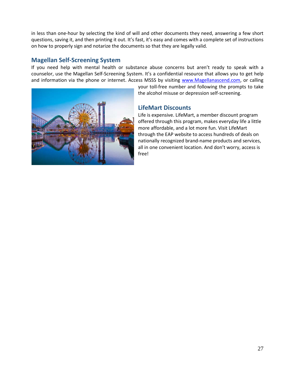in less than one-hour by selecting the kind of will and other documents they need, answering a few short questions, saving it, and then printing it out. It's fast, it's easy and comes with a complete set of instructions on how to properly sign and notarize the documents so that they are legally valid.

### <span id="page-27-0"></span>**Magellan Self-Screening System**

If you need help with mental health or substance abuse concerns but aren't ready to speak with a counselor, use the Magellan Self-Screening System. It's a confidential resource that allows you to get help and information via the phone or internet. Access MSSS by visiting [www.Magellanascend.com,](http://www.magellanascend.com/) or calling



your toll-free number and following the prompts to take the alcohol misuse or depression self-screening.

### <span id="page-27-1"></span>**LifeMart Discounts**

Life is expensive. LifeMart, a member discount program offered through this program, makes everyday life a little more affordable, and a lot more fun. Visit LifeMart through the EAP website to access hundreds of deals on nationally recognized brand-name products and services, all in one convenient location. And don't worry, access is free!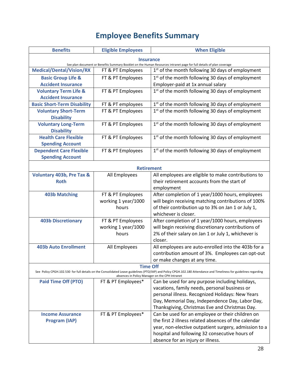# **Employee Benefits Summary**

<span id="page-28-0"></span>

| <b>Benefits</b>                                                                                                      | <b>Eligible Employees</b>                      | <b>When Eligible</b>                                                                                                                                               |  |  |  |
|----------------------------------------------------------------------------------------------------------------------|------------------------------------------------|--------------------------------------------------------------------------------------------------------------------------------------------------------------------|--|--|--|
|                                                                                                                      | <b>Insurance</b>                               |                                                                                                                                                                    |  |  |  |
| See plan document or Benefits Summary Booklet on the Human Resources intranet page for full details of plan coverage |                                                |                                                                                                                                                                    |  |  |  |
| <b>Medical/Dental/Vision/RX</b>                                                                                      | FT & PT Employees                              | $1st$ of the month following 30 days of employment                                                                                                                 |  |  |  |
| <b>Basic Group Life &amp;</b>                                                                                        | FT & PT Employees                              | 1 <sup>st</sup> of the month following 30 days of employment                                                                                                       |  |  |  |
| <b>Accident Insurance</b>                                                                                            |                                                | Employer-paid at 1x annual salary                                                                                                                                  |  |  |  |
| <b>Voluntary Term Life &amp;</b>                                                                                     | FT & PT Employees                              | 1 <sup>st</sup> of the month following 30 days of employment                                                                                                       |  |  |  |
| <b>Accident Insurance</b>                                                                                            |                                                |                                                                                                                                                                    |  |  |  |
| <b>Basic Short-Term Disability</b>                                                                                   | FT & PT employees                              | 1 <sup>st</sup> of the month following 30 days of employment                                                                                                       |  |  |  |
| <b>Voluntary Short-Term</b><br><b>Disability</b>                                                                     | FT & PT Employees                              | $1st$ of the month following 30 days of employment                                                                                                                 |  |  |  |
| <b>Voluntary Long-Term</b>                                                                                           | FT & PT Employees                              | 1 <sup>st</sup> of the month following 30 days of employment                                                                                                       |  |  |  |
| <b>Disability</b>                                                                                                    |                                                |                                                                                                                                                                    |  |  |  |
| <b>Health Care Flexible</b>                                                                                          | FT & PT Employees                              | $1st$ of the month following 30 days of employment                                                                                                                 |  |  |  |
| <b>Spending Account</b>                                                                                              |                                                |                                                                                                                                                                    |  |  |  |
| <b>Dependent Care Flexible</b>                                                                                       | FT & PT Employees                              | 1 <sup>st</sup> of the month following 30 days of employment                                                                                                       |  |  |  |
| <b>Spending Account</b>                                                                                              |                                                |                                                                                                                                                                    |  |  |  |
|                                                                                                                      |                                                |                                                                                                                                                                    |  |  |  |
|                                                                                                                      | <b>Retirement</b>                              |                                                                                                                                                                    |  |  |  |
| <b>Voluntary 403b, Pre Tax &amp;</b>                                                                                 | All Employees                                  | All employees are eligible to make contributions to                                                                                                                |  |  |  |
| <b>Roth</b>                                                                                                          |                                                | their retirement accounts from the start of                                                                                                                        |  |  |  |
|                                                                                                                      |                                                | employment                                                                                                                                                         |  |  |  |
| <b>403b Matching</b>                                                                                                 | FT & PT Employees                              | After completion of 1 year/1000 hours, employees                                                                                                                   |  |  |  |
|                                                                                                                      | working 1 year/1000                            | will begin receiving matching contributions of 100%                                                                                                                |  |  |  |
|                                                                                                                      | hours                                          | of their contribution up to 3% on Jan 1 or July 1,                                                                                                                 |  |  |  |
|                                                                                                                      |                                                | whichever is closer.                                                                                                                                               |  |  |  |
| <b>403b Discretionary</b>                                                                                            | FT & PT Employees                              | After completion of 1 year/1000 hours, employees                                                                                                                   |  |  |  |
|                                                                                                                      | working 1 year/1000                            | will begin receiving discretionary contributions of                                                                                                                |  |  |  |
|                                                                                                                      | hours                                          | 2% of their salary on Jan 1 or July 1, whichever is                                                                                                                |  |  |  |
|                                                                                                                      |                                                | closer.                                                                                                                                                            |  |  |  |
| <b>403b Auto Enrollment</b>                                                                                          | All Employees                                  | All employees are auto-enrolled into the 403b for a                                                                                                                |  |  |  |
|                                                                                                                      |                                                | contribution amount of 3%. Employees can opt-out                                                                                                                   |  |  |  |
|                                                                                                                      |                                                | or make changes at any time.                                                                                                                                       |  |  |  |
|                                                                                                                      | <b>Time Off</b>                                |                                                                                                                                                                    |  |  |  |
|                                                                                                                      | absences in Policy Manager on the CPH Intranet | See Policy CPGH.102.530 for full details on the Consolidated Leave guidelines (PTO/IAP) and Policy CPGH.102.180 Attendance and Timeliness for guidelines regarding |  |  |  |
| <b>Paid Time Off (PTO)</b>                                                                                           | FT & PT Employees*                             | Can be used for any purpose including holidays,                                                                                                                    |  |  |  |
|                                                                                                                      |                                                | vacations, family needs, personal business or                                                                                                                      |  |  |  |
|                                                                                                                      |                                                | personal illness. Recognized Holidays: New Years                                                                                                                   |  |  |  |
|                                                                                                                      |                                                | Day, Memorial Day, Independence Day, Labor Day,                                                                                                                    |  |  |  |
|                                                                                                                      |                                                | Thanksgiving, Christmas Eve and Christmas Day.                                                                                                                     |  |  |  |
| <b>Income Assurance</b>                                                                                              | FT & PT Employees*                             | Can be used for an employee or their children on                                                                                                                   |  |  |  |
| <b>Program (IAP)</b>                                                                                                 |                                                | the first 2 illness related absences of the calendar                                                                                                               |  |  |  |
|                                                                                                                      |                                                | year, non-elective outpatient surgery, admission to a                                                                                                              |  |  |  |
| hospital and following 32 consecutive hours of                                                                       |                                                |                                                                                                                                                                    |  |  |  |
|                                                                                                                      |                                                | absence for an injury or illness.                                                                                                                                  |  |  |  |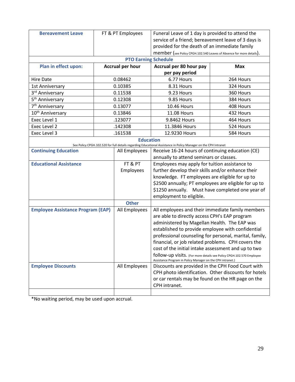| <b>Bereavement Leave</b>                 |  | FT & PT Employees           | Funeral Leave of 1 day is provided to attend the                                                                |            |  |
|------------------------------------------|--|-----------------------------|-----------------------------------------------------------------------------------------------------------------|------------|--|
|                                          |  |                             | service of a friend; bereavement leave of 3 days is                                                             |            |  |
|                                          |  |                             | provided for the death of an immediate family                                                                   |            |  |
|                                          |  |                             | member (see Policy CPGH.102.540 Leaves of Absence for more details).                                            |            |  |
|                                          |  | <b>PTO Earning Schedule</b> |                                                                                                                 |            |  |
| Plan in effect upon:                     |  | <b>Accrual per hour</b>     | Accrual per 80 hour pay                                                                                         | <b>Max</b> |  |
|                                          |  |                             | per pay period                                                                                                  |            |  |
| <b>Hire Date</b>                         |  | 0.08462                     | 6.77 Hours                                                                                                      | 264 Hours  |  |
| 1st Anniversary                          |  | 0.10385                     | 8.31 Hours                                                                                                      | 324 Hours  |  |
| 3 <sup>rd</sup> Anniversary              |  | 0.11538                     | 9.23 Hours                                                                                                      | 360 Hours  |  |
| 5 <sup>th</sup> Anniversary              |  | 0.12308                     | 9.85 Hours                                                                                                      | 384 Hours  |  |
| 7 <sup>th</sup> Anniversary              |  | 0.13077                     | <b>10.46 Hours</b>                                                                                              | 408 Hours  |  |
| 10 <sup>th</sup> Anniversary             |  | 0.13846                     | <b>11.08 Hours</b>                                                                                              | 432 Hours  |  |
| Exec Level 1                             |  | .123077                     | 9.8462 Hours                                                                                                    | 464 Hours  |  |
| Exec Level 2                             |  | .142308                     | 11.3846 Hours                                                                                                   | 524 Hours  |  |
| Exec Level 3                             |  | .161538                     | 12.9230 Hours                                                                                                   | 584 Hours  |  |
|                                          |  | <b>Education</b>            |                                                                                                                 |            |  |
|                                          |  |                             | See Policy CPGH.102.520 for full details regarding Educational Assistance in Policy Manager on the CPH Intranet |            |  |
| <b>Continuing Education</b>              |  | All Employees               | Receive 16-24 hours of continuing education (CE)                                                                |            |  |
|                                          |  |                             | annually to attend seminars or classes.                                                                         |            |  |
| <b>Educational Assistance</b>            |  | FT & PT                     | Employees may apply for tuition assistance to<br>further develop their skills and/or enhance their              |            |  |
|                                          |  | Employees                   |                                                                                                                 |            |  |
|                                          |  |                             | knowledge. FT employees are eligible for up to                                                                  |            |  |
|                                          |  |                             | \$2500 annually; PT employees are eligible for up to                                                            |            |  |
|                                          |  |                             | \$1250 annually. Must have completed one year of<br>employment to eligible.                                     |            |  |
|                                          |  | <b>Other</b>                |                                                                                                                 |            |  |
| <b>Employee Assistance Program (EAP)</b> |  | All Employees               |                                                                                                                 |            |  |
|                                          |  |                             | All employees and their immediate family members<br>are able to directly access CPH's EAP program               |            |  |
|                                          |  |                             | administered by Magellan Health. The EAP was                                                                    |            |  |
|                                          |  |                             | established to provide employee with confidential                                                               |            |  |
|                                          |  |                             | professional counseling for personal, marital, family,                                                          |            |  |
|                                          |  |                             | financial, or job related problems. CPH covers the                                                              |            |  |
|                                          |  |                             | cost of the initial intake assessment and up to two                                                             |            |  |
|                                          |  |                             | follow-up visits. (For more details see Policy CPGH.102.570 Employee                                            |            |  |
|                                          |  |                             | Assistance Program in Policy Manager on the CPH intranet.)                                                      |            |  |
| <b>Employee Discounts</b>                |  | All Employees               | Discounts are provided in the CPH Food Court with                                                               |            |  |
|                                          |  |                             | CPH photo identification. Other discounts for hotels                                                            |            |  |
|                                          |  |                             | or car rentals may be found on the HR page on the                                                               |            |  |
|                                          |  |                             | CPH intranet.                                                                                                   |            |  |
|                                          |  |                             |                                                                                                                 |            |  |

<span id="page-29-0"></span>\*No waiting period, may be used upon accrual.